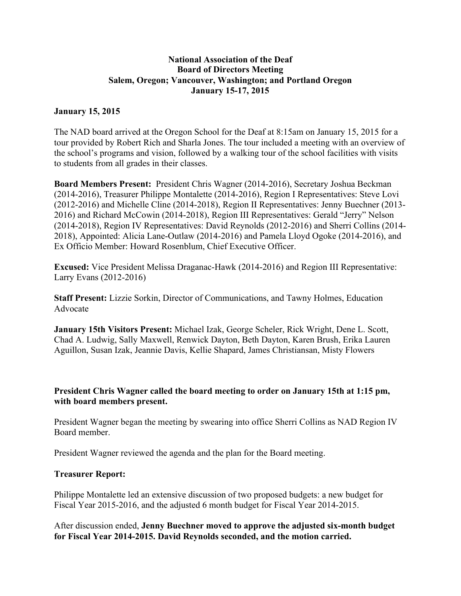## **National Association of the Deaf Board of Directors Meeting Salem, Oregon; Vancouver, Washington; and Portland Oregon January 15-17, 2015**

## **January 15, 2015**

The NAD board arrived at the Oregon School for the Deaf at 8:15am on January 15, 2015 for a tour provided by Robert Rich and Sharla Jones. The tour included a meeting with an overview of the school's programs and vision, followed by a walking tour of the school facilities with visits to students from all grades in their classes.

**Board Members Present:** President Chris Wagner (2014-2016), Secretary Joshua Beckman (2014-2016), Treasurer Philippe Montalette (2014-2016), Region I Representatives: Steve Lovi (2012-2016) and Michelle Cline (2014-2018), Region II Representatives: Jenny Buechner (2013- 2016) and Richard McCowin (2014-2018), Region III Representatives: Gerald "Jerry" Nelson (2014-2018), Region IV Representatives: David Reynolds (2012-2016) and Sherri Collins (2014- 2018), Appointed: Alicia Lane-Outlaw (2014-2016) and Pamela Lloyd Ogoke (2014-2016), and Ex Officio Member: Howard Rosenblum, Chief Executive Officer.

**Excused:** Vice President Melissa Draganac-Hawk (2014-2016) and Region III Representative: Larry Evans (2012-2016)

**Staff Present:** Lizzie Sorkin, Director of Communications, and Tawny Holmes, Education Advocate

**January 15th Visitors Present:** Michael Izak, George Scheler, Rick Wright, Dene L. Scott, Chad A. Ludwig, Sally Maxwell, Renwick Dayton, Beth Dayton, Karen Brush, Erika Lauren Aguillon, Susan Izak, Jeannie Davis, Kellie Shapard, James Christiansan, Misty Flowers

## **President Chris Wagner called the board meeting to order on January 15th at 1:15 pm, with board members present.**

President Wagner began the meeting by swearing into office Sherri Collins as NAD Region IV Board member.

President Wagner reviewed the agenda and the plan for the Board meeting.

#### **Treasurer Report:**

Philippe Montalette led an extensive discussion of two proposed budgets: a new budget for Fiscal Year 2015-2016, and the adjusted 6 month budget for Fiscal Year 2014-2015.

After discussion ended, **Jenny Buechner moved to approve the adjusted six-month budget for Fiscal Year 2014-2015. David Reynolds seconded, and the motion carried.**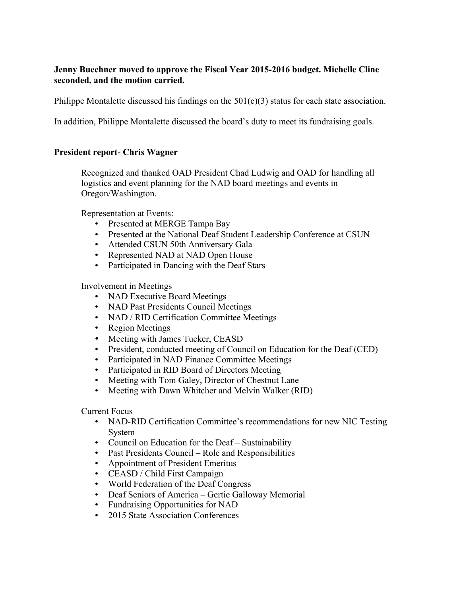## **Jenny Buechner moved to approve the Fiscal Year 2015-2016 budget. Michelle Cline seconded, and the motion carried.**

Philippe Montalette discussed his findings on the  $501(c)(3)$  status for each state association.

In addition, Philippe Montalette discussed the board's duty to meet its fundraising goals.

## **President report- Chris Wagner**

Recognized and thanked OAD President Chad Ludwig and OAD for handling all logistics and event planning for the NAD board meetings and events in Oregon/Washington.

Representation at Events:

- Presented at MERGE Tampa Bay
- Presented at the National Deaf Student Leadership Conference at CSUN
- Attended CSUN 50th Anniversary Gala
- Represented NAD at NAD Open House
- Participated in Dancing with the Deaf Stars

Involvement in Meetings

- NAD Executive Board Meetings
- NAD Past Presidents Council Meetings
- NAD / RID Certification Committee Meetings
- Region Meetings
- Meeting with James Tucker, CEASD
- President, conducted meeting of Council on Education for the Deaf (CED)
- Participated in NAD Finance Committee Meetings
- Participated in RID Board of Directors Meeting
- Meeting with Tom Galey, Director of Chestnut Lane
- Meeting with Dawn Whitcher and Melvin Walker (RID)

Current Focus

- NAD-RID Certification Committee's recommendations for new NIC Testing System
- Council on Education for the Deaf Sustainability
- Past Presidents Council Role and Responsibilities
- Appointment of President Emeritus
- CEASD / Child First Campaign
- World Federation of the Deaf Congress
- Deaf Seniors of America Gertie Galloway Memorial
- Fundraising Opportunities for NAD
- 2015 State Association Conferences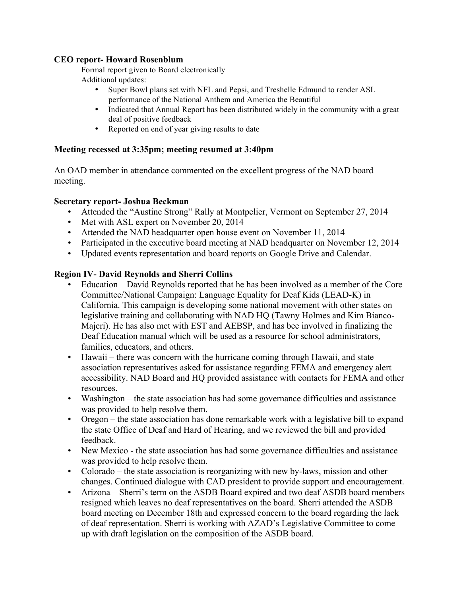## **CEO report- Howard Rosenblum**

Formal report given to Board electronically Additional updates:

- Super Bowl plans set with NFL and Pepsi, and Treshelle Edmund to render ASL performance of the National Anthem and America the Beautiful
- Indicated that Annual Report has been distributed widely in the community with a great deal of positive feedback
- Reported on end of year giving results to date

## **Meeting recessed at 3:35pm; meeting resumed at 3:40pm**

An OAD member in attendance commented on the excellent progress of the NAD board meeting.

## **Secretary report- Joshua Beckman**

- Attended the "Austine Strong" Rally at Montpelier, Vermont on September 27, 2014
- Met with ASL expert on November 20, 2014
- Attended the NAD headquarter open house event on November 11, 2014
- Participated in the executive board meeting at NAD headquarter on November 12, 2014
- Updated events representation and board reports on Google Drive and Calendar.

## **Region IV- David Reynolds and Sherri Collins**

- Education David Reynolds reported that he has been involved as a member of the Core Committee/National Campaign: Language Equality for Deaf Kids (LEAD-K) in California. This campaign is developing some national movement with other states on legislative training and collaborating with NAD HQ (Tawny Holmes and Kim Bianco-Majeri). He has also met with EST and AEBSP, and has bee involved in finalizing the Deaf Education manual which will be used as a resource for school administrators, families, educators, and others.
- Hawaii there was concern with the hurricane coming through Hawaii, and state association representatives asked for assistance regarding FEMA and emergency alert accessibility. NAD Board and HQ provided assistance with contacts for FEMA and other resources.
- Washington the state association has had some governance difficulties and assistance was provided to help resolve them.
- Oregon the state association has done remarkable work with a legislative bill to expand the state Office of Deaf and Hard of Hearing, and we reviewed the bill and provided feedback.
- New Mexico the state association has had some governance difficulties and assistance was provided to help resolve them.
- Colorado the state association is reorganizing with new by-laws, mission and other changes. Continued dialogue with CAD president to provide support and encouragement.
- Arizona Sherri's term on the ASDB Board expired and two deaf ASDB board members resigned which leaves no deaf representatives on the board. Sherri attended the ASDB board meeting on December 18th and expressed concern to the board regarding the lack of deaf representation. Sherri is working with AZAD's Legislative Committee to come up with draft legislation on the composition of the ASDB board.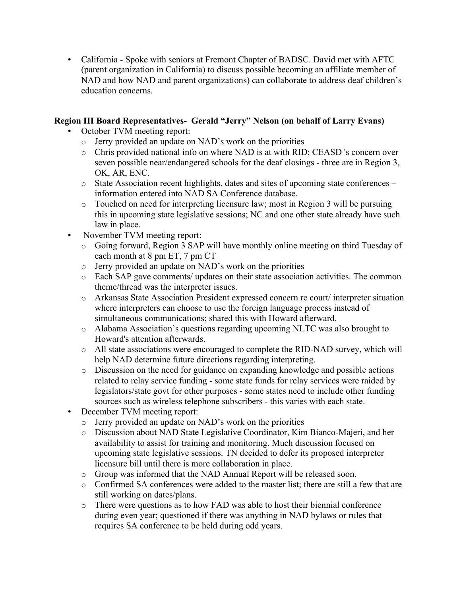• California - Spoke with seniors at Fremont Chapter of BADSC. David met with AFTC (parent organization in California) to discuss possible becoming an affiliate member of NAD and how NAD and parent organizations) can collaborate to address deaf children's education concerns.

# **Region III Board Representatives- Gerald "Jerry" Nelson (on behalf of Larry Evans)**

- October TVM meeting report:
	- o Jerry provided an update on NAD's work on the priorities
	- o Chris provided national info on where NAD is at with RID; CEASD 's concern over seven possible near/endangered schools for the deaf closings - three are in Region 3, OK, AR, ENC.
	- o State Association recent highlights, dates and sites of upcoming state conferences information entered into NAD SA Conference database.
	- o Touched on need for interpreting licensure law; most in Region 3 will be pursuing this in upcoming state legislative sessions; NC and one other state already have such law in place.
- November TVM meeting report:
	- o Going forward, Region 3 SAP will have monthly online meeting on third Tuesday of each month at 8 pm ET, 7 pm CT
	- o Jerry provided an update on NAD's work on the priorities
	- o Each SAP gave comments/ updates on their state association activities. The common theme/thread was the interpreter issues.
	- o Arkansas State Association President expressed concern re court/ interpreter situation where interpreters can choose to use the foreign language process instead of simultaneous communications; shared this with Howard afterward.
	- o Alabama Association's questions regarding upcoming NLTC was also brought to Howard's attention afterwards.
	- o All state associations were encouraged to complete the RID-NAD survey, which will help NAD determine future directions regarding interpreting.
	- o Discussion on the need for guidance on expanding knowledge and possible actions related to relay service funding - some state funds for relay services were raided by legislators/state govt for other purposes - some states need to include other funding sources such as wireless telephone subscribers - this varies with each state.
- December TVM meeting report:
	- o Jerry provided an update on NAD's work on the priorities
	- o Discussion about NAD State Legislative Coordinator, Kim Bianco-Majeri, and her availability to assist for training and monitoring. Much discussion focused on upcoming state legislative sessions. TN decided to defer its proposed interpreter licensure bill until there is more collaboration in place.
	- o Group was informed that the NAD Annual Report will be released soon.
	- o Confirmed SA conferences were added to the master list; there are still a few that are still working on dates/plans.
	- o There were questions as to how FAD was able to host their biennial conference during even year; questioned if there was anything in NAD bylaws or rules that requires SA conference to be held during odd years.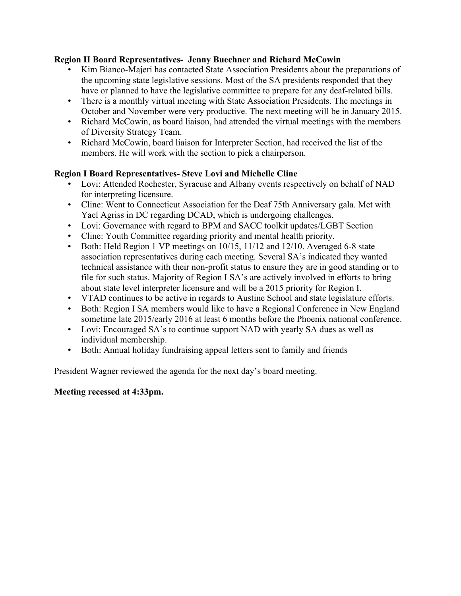# **Region II Board Representatives- Jenny Buechner and Richard McCowin**

- Kim Bianco-Majeri has contacted State Association Presidents about the preparations of the upcoming state legislative sessions. Most of the SA presidents responded that they have or planned to have the legislative committee to prepare for any deaf-related bills.
- There is a monthly virtual meeting with State Association Presidents. The meetings in October and November were very productive. The next meeting will be in January 2015.
- Richard McCowin, as board liaison, had attended the virtual meetings with the members of Diversity Strategy Team.
- Richard McCowin, board liaison for Interpreter Section, had received the list of the members. He will work with the section to pick a chairperson.

# **Region I Board Representatives- Steve Lovi and Michelle Cline**

- Lovi: Attended Rochester, Syracuse and Albany events respectively on behalf of NAD for interpreting licensure.
- Cline: Went to Connecticut Association for the Deaf 75th Anniversary gala. Met with Yael Agriss in DC regarding DCAD, which is undergoing challenges.
- Lovi: Governance with regard to BPM and SACC toolkit updates/LGBT Section
- Cline: Youth Committee regarding priority and mental health priority.
- Both: Held Region 1 VP meetings on 10/15, 11/12 and 12/10. Averaged 6-8 state association representatives during each meeting. Several SA's indicated they wanted technical assistance with their non-profit status to ensure they are in good standing or to file for such status. Majority of Region I SA's are actively involved in efforts to bring about state level interpreter licensure and will be a 2015 priority for Region I.
- VTAD continues to be active in regards to Austine School and state legislature efforts.
- Both: Region I SA members would like to have a Regional Conference in New England sometime late 2015/early 2016 at least 6 months before the Phoenix national conference.
- Lovi: Encouraged SA's to continue support NAD with yearly SA dues as well as individual membership.
- Both: Annual holiday fundraising appeal letters sent to family and friends

President Wagner reviewed the agenda for the next day's board meeting.

# **Meeting recessed at 4:33pm.**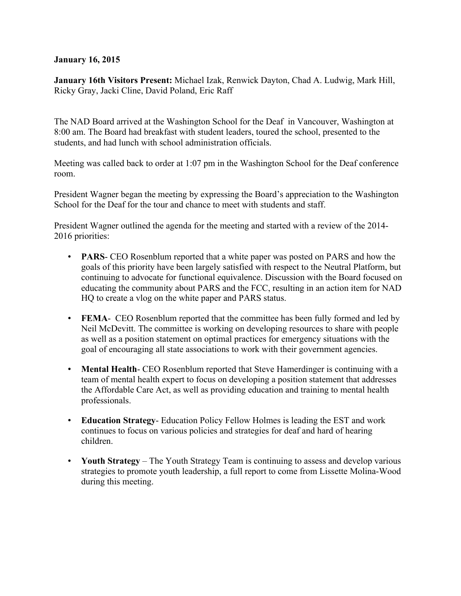## **January 16, 2015**

**January 16th Visitors Present:** Michael Izak, Renwick Dayton, Chad A. Ludwig, Mark Hill, Ricky Gray, Jacki Cline, David Poland, Eric Raff

The NAD Board arrived at the Washington School for the Deaf in Vancouver, Washington at 8:00 am. The Board had breakfast with student leaders, toured the school, presented to the students, and had lunch with school administration officials.

Meeting was called back to order at 1:07 pm in the Washington School for the Deaf conference room.

President Wagner began the meeting by expressing the Board's appreciation to the Washington School for the Deaf for the tour and chance to meet with students and staff.

President Wagner outlined the agenda for the meeting and started with a review of the 2014- 2016 priorities:

- **PARS** CEO Rosenblum reported that a white paper was posted on PARS and how the goals of this priority have been largely satisfied with respect to the Neutral Platform, but continuing to advocate for functional equivalence. Discussion with the Board focused on educating the community about PARS and the FCC, resulting in an action item for NAD HQ to create a vlog on the white paper and PARS status.
- **FEMA** CEO Rosenblum reported that the committee has been fully formed and led by Neil McDevitt. The committee is working on developing resources to share with people as well as a position statement on optimal practices for emergency situations with the goal of encouraging all state associations to work with their government agencies.
- **Mental Health** CEO Rosenblum reported that Steve Hamerdinger is continuing with a team of mental health expert to focus on developing a position statement that addresses the Affordable Care Act, as well as providing education and training to mental health professionals.
- **Education Strategy** Education Policy Fellow Holmes is leading the EST and work continues to focus on various policies and strategies for deaf and hard of hearing children.
- **Youth Strategy** The Youth Strategy Team is continuing to assess and develop various strategies to promote youth leadership, a full report to come from Lissette Molina-Wood during this meeting.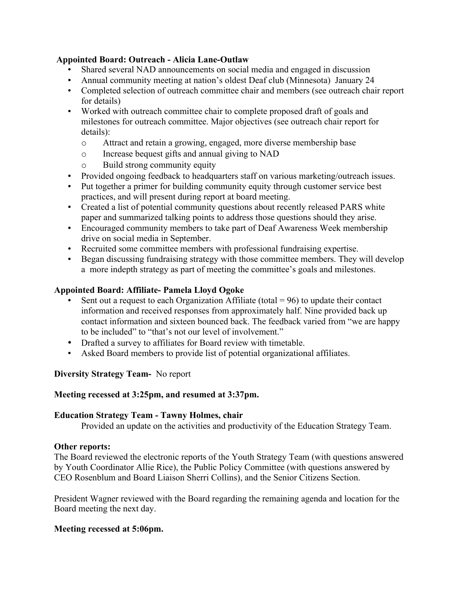## **Appointed Board: Outreach - Alicia Lane-Outlaw**

- Shared several NAD announcements on social media and engaged in discussion
- Annual community meeting at nation's oldest Deaf club (Minnesota) January 24
- Completed selection of outreach committee chair and members (see outreach chair report for details)
- Worked with outreach committee chair to complete proposed draft of goals and milestones for outreach committee. Major objectives (see outreach chair report for details):
	- o Attract and retain a growing, engaged, more diverse membership base
	- o Increase bequest gifts and annual giving to NAD
	- o Build strong community equity
- Provided ongoing feedback to headquarters staff on various marketing/outreach issues.
- Put together a primer for building community equity through customer service best practices, and will present during report at board meeting.
- Created a list of potential community questions about recently released PARS white paper and summarized talking points to address those questions should they arise.
- Encouraged community members to take part of Deaf Awareness Week membership drive on social media in September.
- Recruited some committee members with professional fundraising expertise.
- Began discussing fundraising strategy with those committee members. They will develop a more indepth strategy as part of meeting the committee's goals and milestones.

## **Appointed Board: Affiliate- Pamela Lloyd Ogoke**

- Sent out a request to each Organization Affiliate (total  $= 96$ ) to update their contact information and received responses from approximately half. Nine provided back up contact information and sixteen bounced back. The feedback varied from "we are happy to be included" to "that's not our level of involvement."
- Drafted a survey to affiliates for Board review with timetable.
- Asked Board members to provide list of potential organizational affiliates.

#### **Diversity Strategy Team-** No report

#### **Meeting recessed at 3:25pm, and resumed at 3:37pm.**

#### **Education Strategy Team - Tawny Holmes, chair**

Provided an update on the activities and productivity of the Education Strategy Team.

#### **Other reports:**

The Board reviewed the electronic reports of the Youth Strategy Team (with questions answered by Youth Coordinator Allie Rice), the Public Policy Committee (with questions answered by CEO Rosenblum and Board Liaison Sherri Collins), and the Senior Citizens Section.

President Wagner reviewed with the Board regarding the remaining agenda and location for the Board meeting the next day.

# **Meeting recessed at 5:06pm.**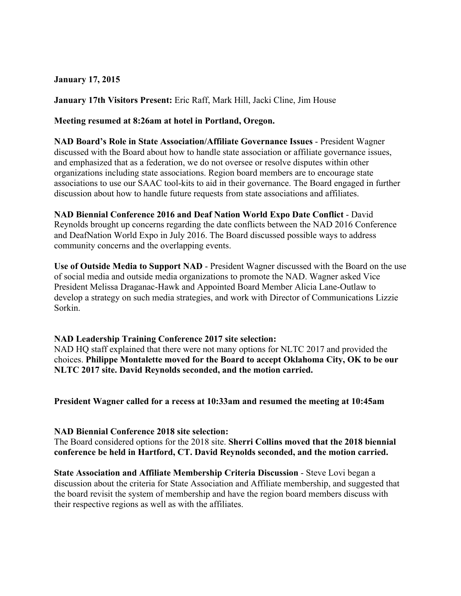## **January 17, 2015**

**January 17th Visitors Present:** Eric Raff, Mark Hill, Jacki Cline, Jim House

**Meeting resumed at 8:26am at hotel in Portland, Oregon.**

**NAD Board's Role in State Association/Affiliate Governance Issues** - President Wagner discussed with the Board about how to handle state association or affiliate governance issues, and emphasized that as a federation, we do not oversee or resolve disputes within other organizations including state associations. Region board members are to encourage state associations to use our SAAC tool-kits to aid in their governance. The Board engaged in further discussion about how to handle future requests from state associations and affiliates.

**NAD Biennial Conference 2016 and Deaf Nation World Expo Date Conflict** - David Reynolds brought up concerns regarding the date conflicts between the NAD 2016 Conference and DeafNation World Expo in July 2016. The Board discussed possible ways to address community concerns and the overlapping events.

**Use of Outside Media to Support NAD** - President Wagner discussed with the Board on the use of social media and outside media organizations to promote the NAD. Wagner asked Vice President Melissa Draganac-Hawk and Appointed Board Member Alicia Lane-Outlaw to develop a strategy on such media strategies, and work with Director of Communications Lizzie Sorkin.

#### **NAD Leadership Training Conference 2017 site selection:**

NAD HQ staff explained that there were not many options for NLTC 2017 and provided the choices. **Philippe Montalette moved for the Board to accept Oklahoma City, OK to be our NLTC 2017 site. David Reynolds seconded, and the motion carried.**

**President Wagner called for a recess at 10:33am and resumed the meeting at 10:45am**

#### **NAD Biennial Conference 2018 site selection:**

The Board considered options for the 2018 site. **Sherri Collins moved that the 2018 biennial conference be held in Hartford, CT. David Reynolds seconded, and the motion carried.**

**State Association and Affiliate Membership Criteria Discussion** - Steve Lovi began a discussion about the criteria for State Association and Affiliate membership, and suggested that the board revisit the system of membership and have the region board members discuss with their respective regions as well as with the affiliates.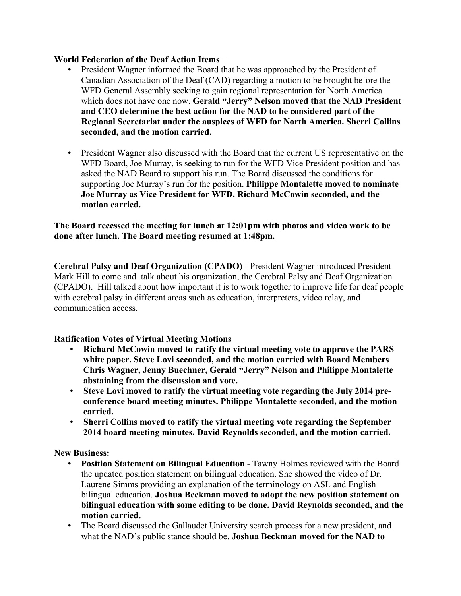## **World Federation of the Deaf Action Items** –

- President Wagner informed the Board that he was approached by the President of Canadian Association of the Deaf (CAD) regarding a motion to be brought before the WFD General Assembly seeking to gain regional representation for North America which does not have one now. **Gerald "Jerry" Nelson moved that the NAD President and CEO determine the best action for the NAD to be considered part of the Regional Secretariat under the auspices of WFD for North America. Sherri Collins seconded, and the motion carried.**
- President Wagner also discussed with the Board that the current US representative on the WFD Board, Joe Murray, is seeking to run for the WFD Vice President position and has asked the NAD Board to support his run. The Board discussed the conditions for supporting Joe Murray's run for the position. **Philippe Montalette moved to nominate Joe Murray as Vice President for WFD. Richard McCowin seconded, and the motion carried.**

**The Board recessed the meeting for lunch at 12:01pm with photos and video work to be done after lunch. The Board meeting resumed at 1:48pm.**

**Cerebral Palsy and Deaf Organization (CPADO)** - President Wagner introduced President Mark Hill to come and talk about his organization, the Cerebral Palsy and Deaf Organization (CPADO). Hill talked about how important it is to work together to improve life for deaf people with cerebral palsy in different areas such as education, interpreters, video relay, and communication access.

# **Ratification Votes of Virtual Meeting Motions**

- **Richard McCowin moved to ratify the virtual meeting vote to approve the PARS white paper. Steve Lovi seconded, and the motion carried with Board Members Chris Wagner, Jenny Buechner, Gerald "Jerry" Nelson and Philippe Montalette abstaining from the discussion and vote.**
- **Steve Lovi moved to ratify the virtual meeting vote regarding the July 2014 preconference board meeting minutes. Philippe Montalette seconded, and the motion carried.**
- **Sherri Collins moved to ratify the virtual meeting vote regarding the September 2014 board meeting minutes. David Reynolds seconded, and the motion carried.**

**New Business:**

- **Position Statement on Bilingual Education** Tawny Holmes reviewed with the Board the updated position statement on bilingual education. She showed the video of Dr. Laurene Simms providing an explanation of the terminology on ASL and English bilingual education. **Joshua Beckman moved to adopt the new position statement on bilingual education with some editing to be done. David Reynolds seconded, and the motion carried.**
- The Board discussed the Gallaudet University search process for a new president, and what the NAD's public stance should be. **Joshua Beckman moved for the NAD to**